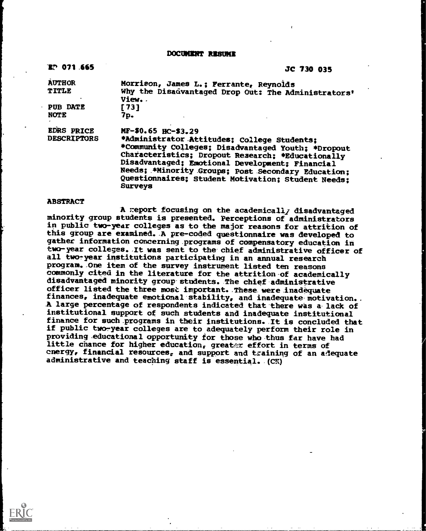**DOCUMENT RESUME** 

| EP 071.665                              | JC 730 035                                                                                                                                                                                                                                                                                                                                                     |
|-----------------------------------------|----------------------------------------------------------------------------------------------------------------------------------------------------------------------------------------------------------------------------------------------------------------------------------------------------------------------------------------------------------------|
| <b>AUTHOR</b><br>TITLE                  | Morrison, James L.; Ferrante, Reynolds<br>Why the Disadvantaged Drop Out: The Administrators'<br>View                                                                                                                                                                                                                                                          |
| <b>PUB DATE</b><br><b>NOTE</b>          | [73]<br>7p.                                                                                                                                                                                                                                                                                                                                                    |
| <b>EDRS PRICE</b><br><b>DESCRIPTORS</b> | MF-\$0.65 HC-\$3.29<br>*Administrator Attitudes; College Students;<br>*Community Colleges; Disadvantaged Youth; *Dropout<br>Characteristics; Dropout Research; *Educationally<br>Disadvantaged; Emotional Development; Financial<br>Needs; *Minority Groups; Post Secondary Education;<br>Questionnaires; Student Motivation; Student Needs;<br><b>Surveys</b> |

## **ABSTRACT**

A report focusing on the academically disadvantaged minority group students is presented. Perceptions of administrators in public two-year colleges as to the major reasons for attrition of this group are examined. .A pre-coded questionnaire was developed to gather information concerning programs of compensatory education in two-year colleges. /t was sent to the chief administrative officer of all two-year institutions participating in an annual research program. One item of the survey instrument listed ten reasons commonly cited in the literature for the attrition-of academically disadvantaged minority group students. The chief administrative officer listed the three most important. These were inadequate finances, inadequate emotional stability, and inadequate motivation.. A large percentage of respondents indicated that there was a lack of institutional support of such students and inadequate institutional finance for such .programs in their institutions. It is concluded that if public two-year colleges are to adequately perform their role in providing .educational opportunity for those who thus far have had little chance for higher education, greater effort in terms of energy, financial resources, and support and training of an adequate administrative and teaching staff is essential. (CK)

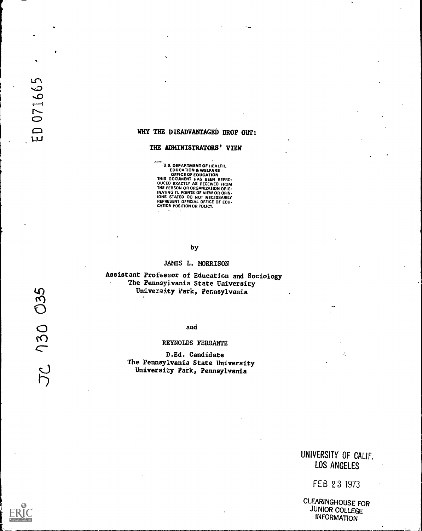# WHY THE DISADVANTAGED DROP OUT:

### THE ADMINISTRATORS' VIEW

**U.S. DEPARTMENT OF HEALTH,<br>EDUCATION & WELFARE<br>OFFICE OF EDUCATION<br>THIS OOCUMENT HAS BEEN REPRO.<br>OUCED EXACTLY AS RECEIVED FROM<br>THE PERSON OR ORGANIZATION ORIG-<br>INATING IT. POINTS OF VIEW OR OPIN-<br>INATING IT. POINTS OF VI** 

## by

#### JAMES L. MORRISON

Assistant Professor of Education and Sociology The Pennsylvania State University University Park, Pennsylvania

D.Ed. Candidate The Pennsylvania State University University Park, Pennsylvania

# UNIVERSITY OF CALIF. LOS ANGELES

 $\tilde{z}_i$ 

FEB 23 1973

CLEARINGHOUSE FOR JUNIOR COLLEGE INFORMATION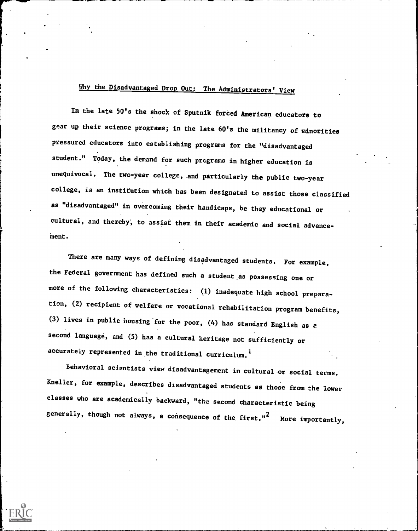# Why the Disadvantaged Drop Out: The Administrators' View

In the late 50's the shock of Sputnik forced American educators to gear up their science programs; in the late 60's the militancy of minorities pressured educators into establishing programs for the "disadvantaged student." Today, the demand for such programs in higher education is unequivocal. The two-year college, and particularly the public two-year college, is an institution which has been designated to assist those classified as "disadvantaged" in overcoming their handicaps, be they educational or cultural, and thereby', to assist them in their academic and social advanceinent.

There are many ways of defining disadvantaged students. For example, the Federal government has defined such a student as possessing one or more of the following characteristics: (1) inadequate high school preparation, (2) recipient of welfare or vocational rehabilitation program benefits, (3) lives in public housing for the poor, (4) has standard English as a second language, and (5) has a cultural heritage not sufficiently or accurately represented in the traditional curriculum.<sup>1</sup>

Behavioral scientists view disadvantagement in cultural or social terms. Kneller, for example, describes disadvantaged students as those from the lower classes who are academically backward, "the second characteristic being generally, though not always, a consequence of the first."<sup>2</sup> More importantly,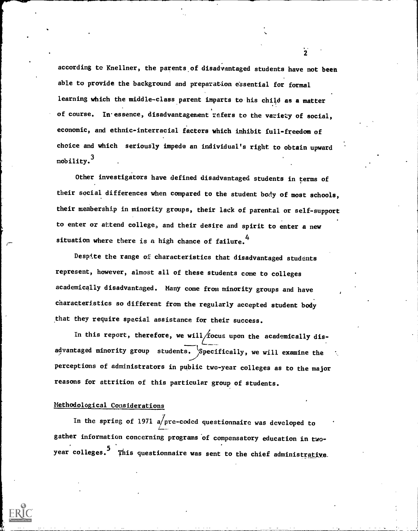according to Knellner, the parents of disadvantaged students have not been able to provide the background and preparation essential for formal learning which the middle-class parent imparts to his child as a matter of course. In essence, disadvantagement refers to the variety of social, economic, and ethnic-interracial factors which inhibit full-freedom of choice and which seriously impede an individual's right to obtain upward mobility. $\frac{3}{2}$ 

Other investigators have defined disadvantaged students in terms of their social differences when compared to the student body of most schools, their membership in minority groups, their lack of parental or self-support to enter or attend college, and their desire and spirit to enter a new situation where there is a high chance of failure.<sup>4</sup>

Despite the range of characteristics that disadvantaged students represent, however, almost all of these students come to colleges academically disadvantaged. Many come from minority groups and have characteristics so different from the regularly accepted student body that they require special assistance for their success.

In this report, therefore, we will focus upon the academically disadvantaged minority group students. Specifically, we will examine the  $\sim$  . The set of  $\sim$ perceptions of administrators in public two-year colleges as to the major reasons for attrition of this particular group of students.

# Methodological Considerations

In the spring of 1971 a/pre-coded questionnaire was developed to gather information concerning programs 'of compensatory education in twoyear colleges.<sup>5</sup> This questionnaire was sent to the chief administrative.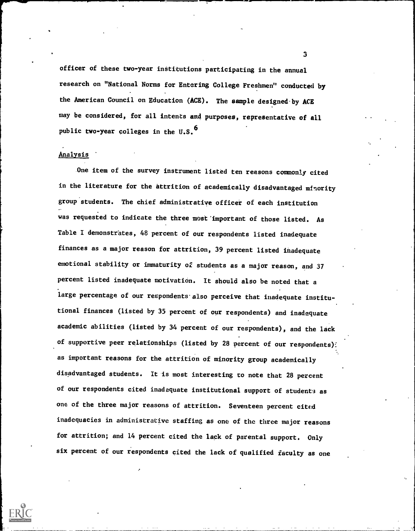officer of these two-year institutions participating in the annual research on "National Norms for Entering College Freshmen" conducted by the American Council on Education (ACE). The sample designed-by ACE may be considered, for all intents and purposes, representative of all public two-year colleges in the U.S.<sup>6</sup>

## Analysis

One item of the survey instrument listed ten reasons commonly cited in the literature for the attrition of academically disadvantaged minority group'students. The chief administrative officer of each institution . was requested to indicate the three nost'important of those listed. As Table I demonstrates, 48 percent of our respondents listed inadequate finances as a major reason for attrition, 39 percent listed inadequate emotional stability or immaturity of students as a major reason, and 37 percent listed inadequate motivation. It should also be noted that a large percentage of our respondents also perceive that inadequate institutional finances (listed by 35 percent of our respondents) and inadequate academic abilities (listed by 34 percent of our respondents), and the lack of supportive peer relationships (listed by 28 percent of our respondents): as important reasons for the attrition of minority group academically disadvantaged students. It is most interesting to note that 28 percent of our respondents cited inadequate institutional support of students as one of the three major reasons of attrition. Seventeen percent cited inadequacies in administrative staffing as one of the three major reasons for attrition; and 14 percent cited the lack of parental support. Only six percent of our respondents cited the lack of qualified faculty as one

3

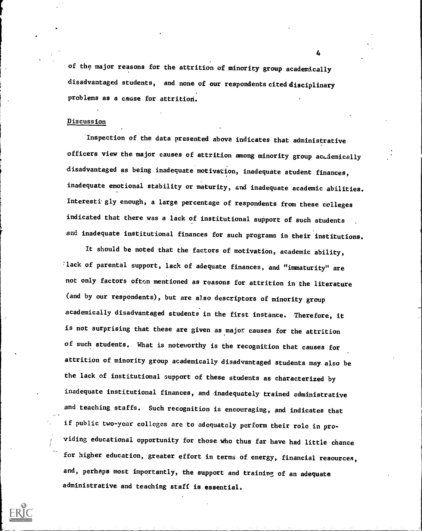of the major reasons for the attrition of minority group academically disadvantaged students, and none of our respondents cited disciplinary problems as a cause for attrition.

# Discussion

inspection of the data presented above indicates that administrative officers view the major causes of attrition among minority group academically disadvantaged as being inadequate motivation, inadequate student finances, inadequate emotional stability or maturity, and inadequate academic abilities. Interesti gly enough, a large percentage of respondents from these colleges indicated that there was a lack of institutional support of such students and inadequate institutional finances for such programs in their institutions.

It should be noted that the factors of motivation, academic ability, lack of parental support, lack of adequate finances, and "immaturity" are not only factors oftcn mentioned as reasons for attrition in the literature (and by our respondents), but are also descriptors of minority group academically disadvantaged students in the first instance. Therefore, it is not surprising that these are given as major causes for the attrition of such students. What is noteworthy is the recognition that causes for attrition of minority group academically disadvantaged students may also be the lack of institutional support of these students as characterized by inadequate institutional finances, and inadequately trained administrative and teaching staffs. Such recognition is encouraging, and indicates that if public two-year colleges are to adequately perform their role in providing educational opportunity for those who thus far have had little chance for higher education, greater effort in terms of energy, financial resources, and, perhaps most importantly, the support and training of an adequate administrative and teaching staff is essential.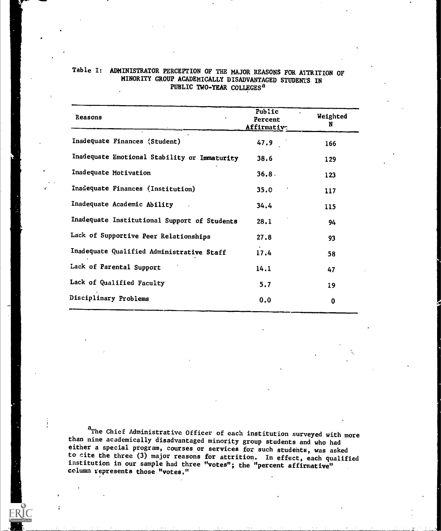| Reasons                                      | Public<br>Percent<br>Affirmative | Weighted<br>N |
|----------------------------------------------|----------------------------------|---------------|
| Inadequate Finances (Student)                | 47.9                             | 166           |
| Inadequate Emotional Stability or Immaturity | 38.6                             | 129           |
| Inadequate Motivation                        | 36.8.                            | 123           |
| Inadequate Finances (Institution)            | 35.0                             | 117           |
| Inadequate Academic Ability                  | 34.4                             | 115           |
| Inadequate Institutional Support of Students | 28.1                             | 94            |
| Lack of Supportive Peer Relationships        | 27.8                             | 93            |
| Inadequate Qualified Administrative Staff    | 17.4                             | 58            |
| Lack of Parental Support                     | 14.1                             | 47            |
| Lack of Qualified Faculty                    | 5.7                              | 19            |
| Disciplinary Problems                        | 0.0                              | $\bf{0}$      |
|                                              |                                  |               |

OIIM,1111.0

# Table I: ADMINISTRATOR PERCEPTION OF THE MAJOR REASONS FOR ATTRITION OF MINORITY GROUP ACADEMICALLY DISADVANTAGED STUDENTS IN PUBLIC TWO-YEAR COLLEGES<sup>a</sup>

aThe Chief Administrative Officer of each institution surveyed with more than nine academically disadvantaged minority group students and who had either a special program, courses or services for such studehts, was asked to cite the three (3) major reasons for attrition. In effect, each qualified institution in our sample had three "votes"; the "percent affirmative" column represents those "votes."